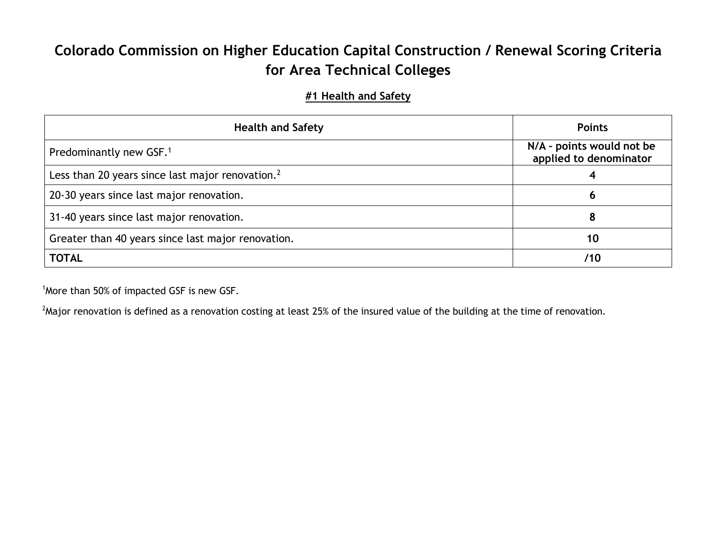# **Colorado Commission on Higher Education Capital Construction / Renewal Scoring Criteria for Area Technical Colleges**

#### **#1 Health and Safety**

| <b>Health and Safety</b>                                     | <b>Points</b>                                       |
|--------------------------------------------------------------|-----------------------------------------------------|
| Predominantly new GSF. <sup>1</sup>                          | N/A - points would not be<br>applied to denominator |
| Less than 20 years since last major renovation. <sup>2</sup> |                                                     |
| 20-30 years since last major renovation.                     | ь                                                   |
| 31-40 years since last major renovation.                     |                                                     |
| Greater than 40 years since last major renovation.           | 10                                                  |
| <b>TOTAL</b>                                                 | /10                                                 |

<sup>1</sup> More than 50% of impacted GSF is new GSF.

 $^2$ Major renovation is defined as a renovation costing at least 25% of the insured value of the building at the time of renovation.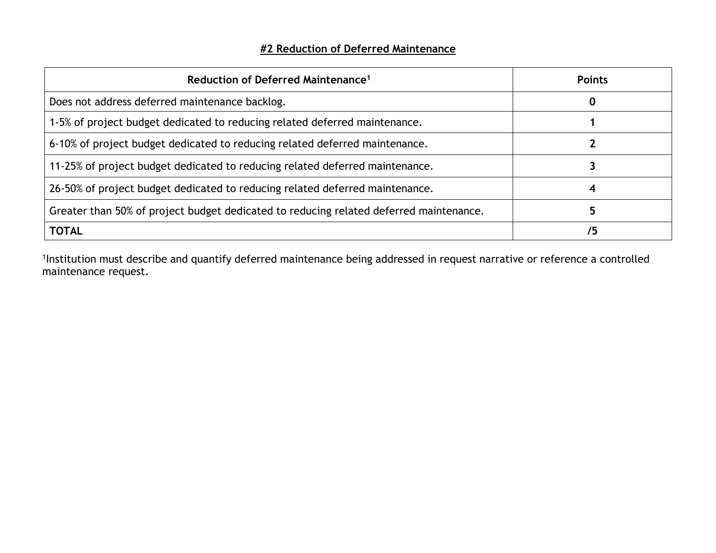#### **#2 Reduction of Deferred Maintenance**

| Reduction of Deferred Maintenance <sup>1</sup>                                         | <b>Points</b> |
|----------------------------------------------------------------------------------------|---------------|
| Does not address deferred maintenance backlog.                                         | 0             |
| 1-5% of project budget dedicated to reducing related deferred maintenance.             |               |
| 6-10% of project budget dedicated to reducing related deferred maintenance.            |               |
| 11-25% of project budget dedicated to reducing related deferred maintenance.           |               |
| 26-50% of project budget dedicated to reducing related deferred maintenance.           |               |
| Greater than 50% of project budget dedicated to reducing related deferred maintenance. |               |
| <b>TOTAL</b>                                                                           |               |

1Institution must describe and quantify deferred maintenance being addressed in request narrative or reference a controlled maintenance request.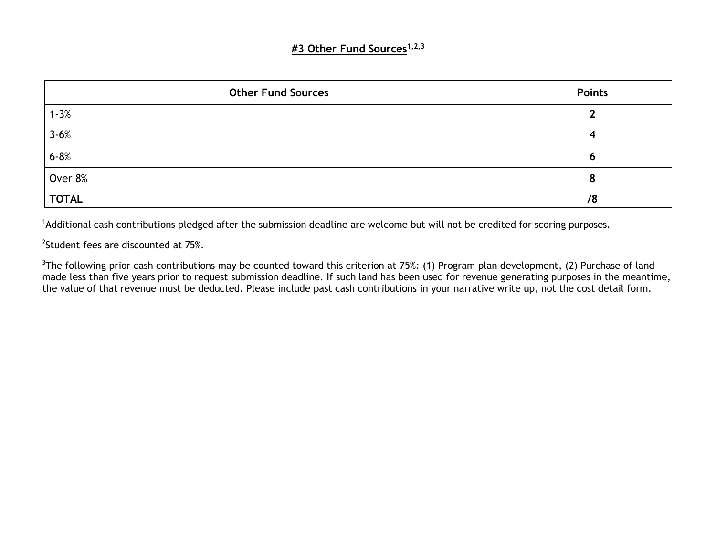#### **#3 Other Fund Sources1,2,3**

| <b>Other Fund Sources</b> | <b>Points</b> |
|---------------------------|---------------|
| $1 - 3%$                  |               |
| $3 - 6%$                  |               |
| $6 - 8%$                  | с             |
| Over 8%                   |               |
| <b>TOTAL</b>              | /8            |

<sup>1</sup>Additional cash contributions pledged after the submission deadline are welcome but will not be credited for scoring purposes.

<sup>2</sup>Student fees are discounted at 75%.

<sup>3</sup>The following prior cash contributions may be counted toward this criterion at 75%: (1) Program plan development, (2) Purchase of land made less than five years prior to request submission deadline. If such land has been used for revenue generating purposes in the meantime, the value of that revenue must be deducted. Please include past cash contributions in your narrative write up, not the cost detail form.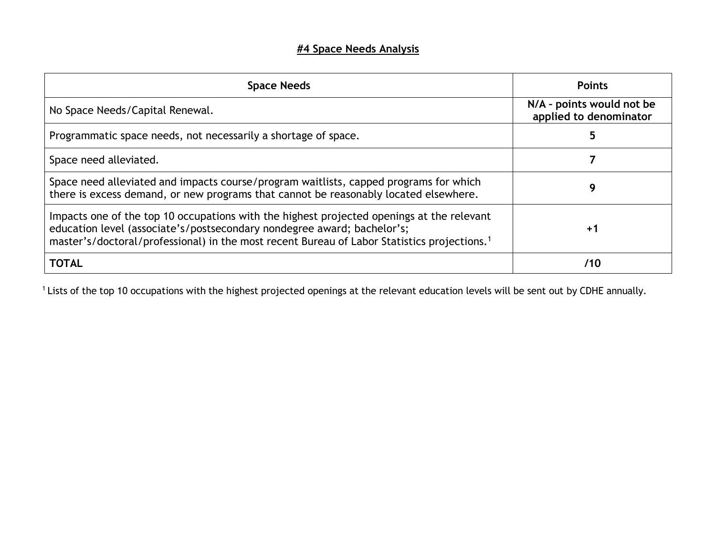## **#4 Space Needs Analysis**

| <b>Space Needs</b>                                                                                                                                                                                                                                                              | <b>Points</b>                                       |
|---------------------------------------------------------------------------------------------------------------------------------------------------------------------------------------------------------------------------------------------------------------------------------|-----------------------------------------------------|
| No Space Needs/Capital Renewal.                                                                                                                                                                                                                                                 | N/A - points would not be<br>applied to denominator |
| Programmatic space needs, not necessarily a shortage of space.                                                                                                                                                                                                                  |                                                     |
| Space need alleviated.                                                                                                                                                                                                                                                          |                                                     |
| Space need alleviated and impacts course/program waitlists, capped programs for which<br>there is excess demand, or new programs that cannot be reasonably located elsewhere.                                                                                                   | g                                                   |
| Impacts one of the top 10 occupations with the highest projected openings at the relevant<br>education level (associate's/postsecondary nondegree award; bachelor's;<br>master's/doctoral/professional) in the most recent Bureau of Labor Statistics projections. <sup>1</sup> | $+1$                                                |
| <b>TOTAL</b>                                                                                                                                                                                                                                                                    | /10                                                 |

<sup>1</sup> Lists of the top 10 occupations with the highest projected openings at the relevant education levels will be sent out by CDHE annually.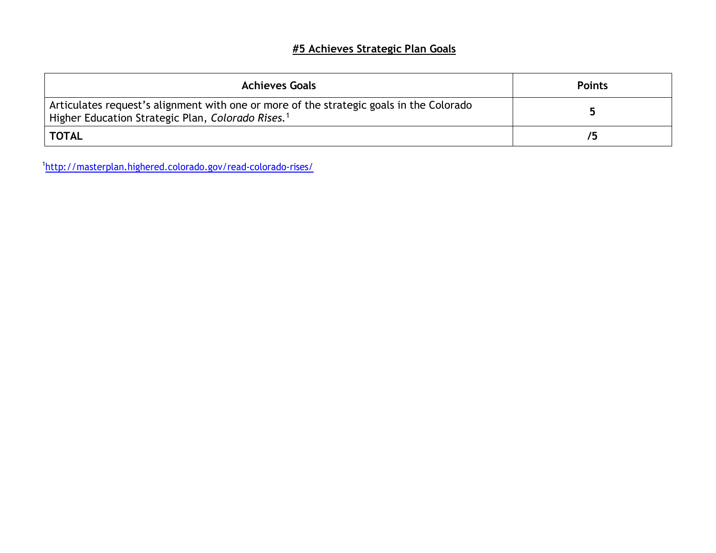## **#5 Achieves Strategic Plan Goals**

| <b>Achieves Goals</b>                                                                                                                                    | <b>Points</b> |
|----------------------------------------------------------------------------------------------------------------------------------------------------------|---------------|
| Articulates request's alignment with one or more of the strategic goals in the Colorado<br>Higher Education Strategic Plan, Colorado Rises. <sup>1</sup> |               |
| <b>TOTAL</b>                                                                                                                                             |               |

1 <http://masterplan.highered.colorado.gov/read-colorado-rises/>